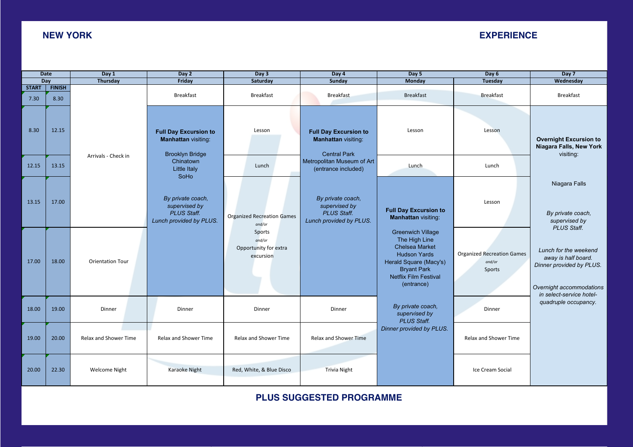## **NEW YORK EXPERIENCE**

| <b>Date</b>          |                       | Day 1                   | Day 2                                                                                                                              | Day 3                                                  | Day 4                                                                                                                                  | Day 5                                                                                                                                                                            | Day 6                                                 | Day 7                                                                                                                            |  |
|----------------------|-----------------------|-------------------------|------------------------------------------------------------------------------------------------------------------------------------|--------------------------------------------------------|----------------------------------------------------------------------------------------------------------------------------------------|----------------------------------------------------------------------------------------------------------------------------------------------------------------------------------|-------------------------------------------------------|----------------------------------------------------------------------------------------------------------------------------------|--|
| Day                  |                       | Thursday                | Friday                                                                                                                             | Saturday                                               | Sunday                                                                                                                                 | Monday                                                                                                                                                                           | <b>Tuesday</b>                                        | Wednesday                                                                                                                        |  |
| <b>START</b><br>7.30 | <b>FINISH</b><br>8.30 |                         | <b>Breakfast</b>                                                                                                                   | <b>Breakfast</b>                                       | <b>Breakfast</b>                                                                                                                       | <b>Breakfast</b>                                                                                                                                                                 | <b>Breakfast</b>                                      | <b>Breakfast</b>                                                                                                                 |  |
| 8.30                 | 12.15                 | Arrivals - Check in     | <b>Full Day Excursion to</b><br>Manhattan visiting:<br><b>Brooklyn Bridge</b>                                                      | Lesson                                                 | <b>Full Day Excursion to</b><br><b>Manhattan visiting:</b><br><b>Central Park</b><br>Metropolitan Museum of Art<br>(entrance included) | Lesson                                                                                                                                                                           | Lesson                                                | <b>Overnight Excursion to</b><br>Niagara Falls, New York<br>visiting:                                                            |  |
| 12.15                | 13.15                 |                         | Chinatown<br>Little Italy<br>SoHo                                                                                                  | Lunch                                                  |                                                                                                                                        | Lunch                                                                                                                                                                            | Lunch                                                 |                                                                                                                                  |  |
| 13.15                | 17.00                 |                         | By private coach,<br>supervised by<br><b>PLUS Staff.</b><br><b>Organized Recreation Games</b><br>Lunch provided by PLUS.<br>and/or |                                                        | By private coach,<br>supervised by<br><b>PLUS Staff.</b><br>Lunch provided by PLUS.                                                    | <b>Full Day Excursion to</b><br><b>Manhattan visiting:</b>                                                                                                                       | Lesson                                                | Niagara Falls<br>By private coach,<br>supervised by<br><b>PLUS Staff.</b>                                                        |  |
| 17.00                | 18.00                 | <b>Orientation Tour</b> |                                                                                                                                    | Sports<br>and/or<br>Opportunity for extra<br>excursion |                                                                                                                                        | <b>Greenwich Village</b><br>The High Line<br><b>Chelsea Market</b><br><b>Hudson Yards</b><br>Herald Square (Macy's)<br><b>Bryant Park</b><br>Netflix Film Festival<br>(entrance) | <b>Organized Recreation Games</b><br>and/or<br>Sports | Lunch for the weekend<br>away is half board.<br>Dinner provided by PLUS.<br>Overnight accommodations<br>in select-service hotel- |  |
| 18.00                | 19.00                 | Dinner                  | Dinner                                                                                                                             | Dinner                                                 | Dinner                                                                                                                                 | By private coach,<br>supervised by<br><b>PLUS Staff.</b>                                                                                                                         | Dinner                                                | quadruple occupancy.                                                                                                             |  |
| 19.00                | 20.00                 | Relax and Shower Time   | Relax and Shower Time                                                                                                              | Relax and Shower Time                                  | <b>Relax and Shower Time</b>                                                                                                           | Dinner provided by PLUS.                                                                                                                                                         | Relax and Shower Time                                 |                                                                                                                                  |  |
| 20.00                | 22.30                 | <b>Welcome Night</b>    | Karaoke Night                                                                                                                      | Red, White, & Blue Disco                               | <b>Trivia Night</b>                                                                                                                    |                                                                                                                                                                                  | Ice Cream Social                                      |                                                                                                                                  |  |

**PLUS SUGGESTED PROGRAMME**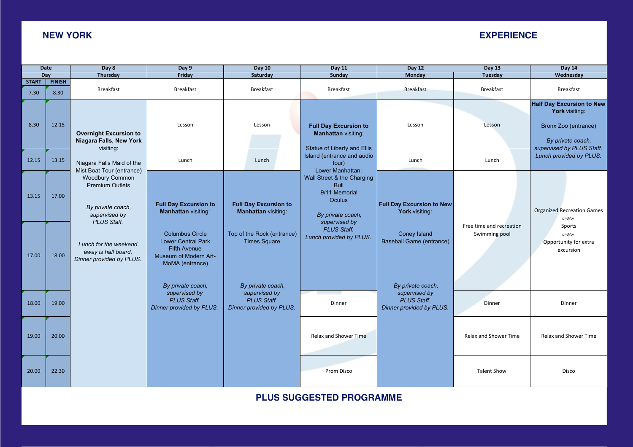**Overnight Excursion to Niagara Falls, New York** 

 *By private coach,*

*Lunch for the weekend away is half board. Dinner provided by PLUS.* 

*Overnight accommodations in select-service hotelquadruple occupancy.* 

## **NEW YORK EXPERIENCE**

|                      | <b>Date</b>           | Day 8                                                                                                                       | Day 9<br><b>Day 10</b>                                                                                                 |                                                                                      | <b>Day 11</b>                                                                                              | <b>Day 12</b>                                                                        | <b>Day 13</b>                             | <b>Day 14</b>                                                                                                                |
|----------------------|-----------------------|-----------------------------------------------------------------------------------------------------------------------------|------------------------------------------------------------------------------------------------------------------------|--------------------------------------------------------------------------------------|------------------------------------------------------------------------------------------------------------|--------------------------------------------------------------------------------------|-------------------------------------------|------------------------------------------------------------------------------------------------------------------------------|
|                      | Dav                   | Thursday                                                                                                                    | Friday<br>Saturday                                                                                                     |                                                                                      | Sunday                                                                                                     | Monday                                                                               | <b>Tuesday</b>                            | Wednesday                                                                                                                    |
| <b>START</b><br>7.30 | <b>FINISH</b><br>8.30 | <b>Breakfast</b>                                                                                                            | <b>Breakfast</b>                                                                                                       | <b>Breakfast</b>                                                                     | <b>Breakfast</b>                                                                                           | <b>Breakfast</b>                                                                     | <b>Breakfast</b>                          | <b>Breakfast</b>                                                                                                             |
| 8.30                 | 12.15                 | <b>Overnight Excursion to</b><br>Niagara Falls, New York<br>visiting:                                                       | Lesson                                                                                                                 | Lesson                                                                               | <b>Full Day Excursion to</b><br><b>Manhattan visiting:</b><br>Statue of Liberty and Ellis                  | Lesson                                                                               | Lesson                                    | <b>Half Day Excursion to New</b><br>York visiting:<br>Bronx Zoo (entrance)<br>By private coach,<br>supervised by PLUS Staff. |
| 12.15                | 13.15                 | Niagara Falls Maid of the                                                                                                   | Lunch                                                                                                                  | Lunch                                                                                | Island (entrance and audio<br>tour)<br>Lower Manhattan:                                                    | Lunch                                                                                | Lunch                                     | Lunch provided by PLUS.                                                                                                      |
| 13.15                | 17.00                 | Mist Boat Tour (entrance)<br>Woodbury Common<br><b>Premium Outlets</b><br>By private coach,<br>supervised by<br>PLUS Staff. | <b>Full Day Excursion to</b><br><b>Manhattan visiting:</b>                                                             | <b>Full Day Excursion to</b><br><b>Manhattan visiting:</b>                           | Wall Street & the Charging<br><b>Bull</b><br>9/11 Memorial<br>Oculus<br>By private coach,<br>supervised by | <b>Full Day Excursion to New</b><br>York visiting:                                   |                                           | <b>Organized Recreation Games</b><br>and/or                                                                                  |
| 17.00                | 18.00                 | Lunch for the weekend<br>away is half board.<br>Dinner provided by PLUS.                                                    | <b>Columbus Circle</b><br><b>Lower Central Park</b><br><b>Fifth Avenue</b><br>Museum of Modern Art-<br>MoMA (entrance) | Top of the Rock (entrance)<br><b>Times Square</b>                                    | <b>PLUS Staff.</b><br>Lunch provided by PLUS.                                                              | Coney Island<br><b>Baseball Game (entrance)</b>                                      | Free time and recreation<br>Swimming pool | Sports<br>and/or<br>Opportunity for extra<br>excursion                                                                       |
| 18.00                | 19.00                 |                                                                                                                             | By private coach,<br>supervised by<br><b>PLUS Staff.</b><br>Dinner provided by PLUS.                                   | By private coach,<br>supervised by<br><b>PLUS Staff.</b><br>Dinner provided by PLUS. | Dinner                                                                                                     | By private coach,<br>supervised by<br><b>PLUS Staff.</b><br>Dinner provided by PLUS. | Dinner                                    | Dinner                                                                                                                       |
| 19.00                | 20.00                 |                                                                                                                             |                                                                                                                        |                                                                                      | Relax and Shower Time                                                                                      |                                                                                      | <b>Relax and Shower Time</b>              | Relax and Shower Time                                                                                                        |
| 20.00                | 22.30                 |                                                                                                                             |                                                                                                                        |                                                                                      | Prom Disco                                                                                                 |                                                                                      | <b>Talent Show</b>                        | Disco                                                                                                                        |

**PLUS SUGGESTED PROGRAMME**